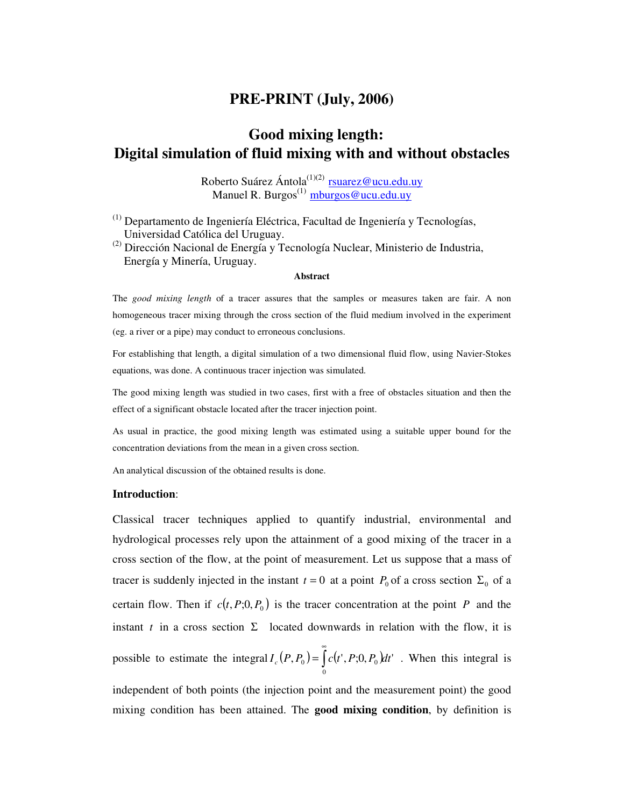## **PRE-PRINT (July, 2006)**

# **Good mixing length: Digital simulation of fluid mixing with and without obstacles**

Roberto Suárez Ántola<sup>(1)(2)</sup> rsuarez@ucu.edu.uy Manuel R. Burgos<sup>(1)</sup> mburgos@ucu.edu.uy

(1) Departamento de Ingeniería Eléctrica, Facultad de Ingeniería y Tecnologías, Universidad Católica del Uruguay.

(2) Dirección Nacional de Energía y Tecnología Nuclear, Ministerio de Industria, Energía y Minería, Uruguay.

#### **Abstract**

The *good mixing length* of a tracer assures that the samples or measures taken are fair. A non homogeneous tracer mixing through the cross section of the fluid medium involved in the experiment (eg. a river or a pipe) may conduct to erroneous conclusions.

For establishing that length, a digital simulation of a two dimensional fluid flow, using Navier-Stokes equations, was done. A continuous tracer injection was simulated.

The good mixing length was studied in two cases, first with a free of obstacles situation and then the effect of a significant obstacle located after the tracer injection point.

As usual in practice, the good mixing length was estimated using a suitable upper bound for the concentration deviations from the mean in a given cross section.

An analytical discussion of the obtained results is done.

#### **Introduction**:

Classical tracer techniques applied to quantify industrial, environmental and hydrological processes rely upon the attainment of a good mixing of the tracer in a cross section of the flow, at the point of measurement. Let us suppose that a mass of tracer is suddenly injected in the instant  $t = 0$  at a point  $P_0$  of a cross section  $\Sigma_0$  of a certain flow. Then if  $c(t, P; 0, P_0)$  is the tracer concentration at the point *P* and the instant  $t$  in a cross section  $\Sigma$  located downwards in relation with the flow, it is possible to estimate the integral  $I_c(P, P_0) = \int c(t', P; 0, P_0) dt'$ 0  $I_c(P, P_0) = \int_0^{\infty} c(t', P; 0, P_0) dt$  $= |c(t', P; 0, P_0)dt'$ . When this integral is independent of both points (the injection point and the measurement point) the good

mixing condition has been attained. The **good mixing condition**, by definition is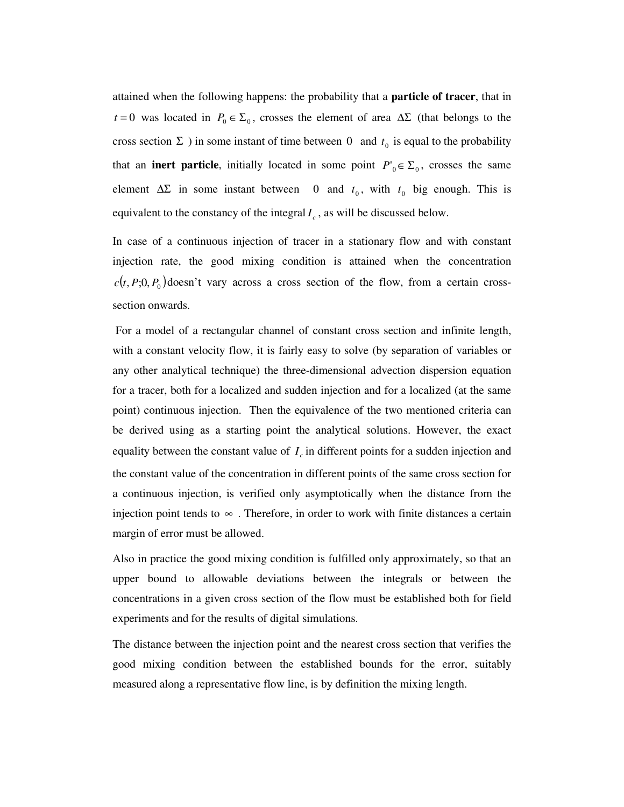attained when the following happens: the probability that a **particle of tracer**, that in *t* = 0 was located in  $P_0 \in \Sigma_0$ , crosses the element of area  $\Delta \Sigma$  (that belongs to the cross section  $\Sigma$ ) in some instant of time between 0 and  $t_0$  is equal to the probability that an **inert particle**, initially located in some point  $P'_{0} \in \Sigma_{0}$ , crosses the same element  $\Delta \Sigma$  in some instant between 0 and  $t_0$ , with  $t_0$  big enough. This is equivalent to the constancy of the integral  $I_c$ , as will be discussed below.

In case of a continuous injection of tracer in a stationary flow and with constant injection rate, the good mixing condition is attained when the concentration  $c(t, P; 0, P_0)$  doesn't vary across a cross section of the flow, from a certain crosssection onwards.

 For a model of a rectangular channel of constant cross section and infinite length, with a constant velocity flow, it is fairly easy to solve (by separation of variables or any other analytical technique) the three-dimensional advection dispersion equation for a tracer, both for a localized and sudden injection and for a localized (at the same point) continuous injection. Then the equivalence of the two mentioned criteria can be derived using as a starting point the analytical solutions. However, the exact equality between the constant value of  $I_c$  in different points for a sudden injection and the constant value of the concentration in different points of the same cross section for a continuous injection, is verified only asymptotically when the distance from the injection point tends to  $\infty$ . Therefore, in order to work with finite distances a certain margin of error must be allowed.

Also in practice the good mixing condition is fulfilled only approximately, so that an upper bound to allowable deviations between the integrals or between the concentrations in a given cross section of the flow must be established both for field experiments and for the results of digital simulations.

The distance between the injection point and the nearest cross section that verifies the good mixing condition between the established bounds for the error, suitably measured along a representative flow line, is by definition the mixing length.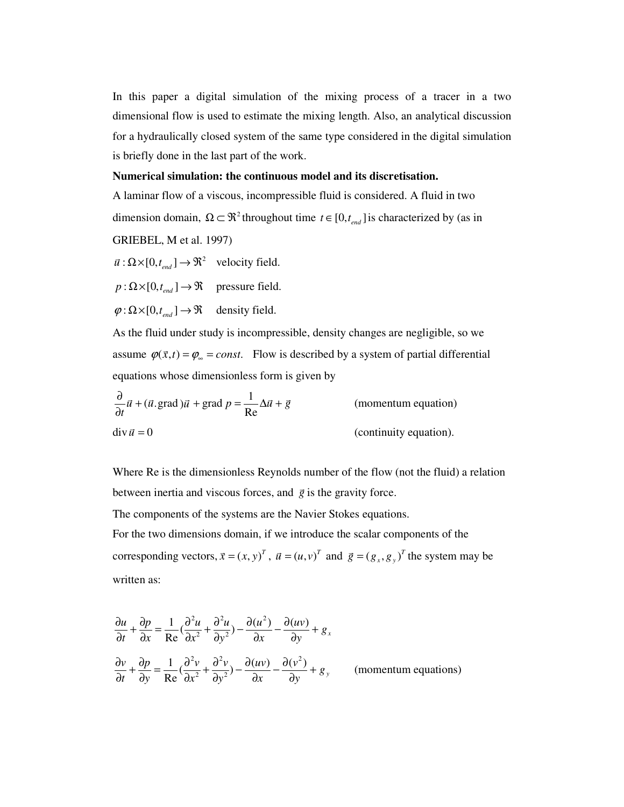In this paper a digital simulation of the mixing process of a tracer in a two dimensional flow is used to estimate the mixing length. Also, an analytical discussion for a hydraulically closed system of the same type considered in the digital simulation is briefly done in the last part of the work.

#### **Numerical simulation: the continuous model and its discretisation.**

A laminar flow of a viscous, incompressible fluid is considered. A fluid in two dimension domain,  $\Omega \subset \mathbb{R}^2$  throughout time  $t \in [0, t_{end}]$  is characterized by (as in GRIEBEL, M et al. 1997)

 $\vec{u} : \Omega \times [0, t_{end}] \rightarrow \mathfrak{R}^2$  velocity field.

 $p : \Omega \times [0, t_{end}] \rightarrow \Re$  pressure field.

 $\varphi : \Omega \times [0, t_{end}] \to \mathfrak{R}$  density field.

As the fluid under study is incompressible, density changes are negligible, so we assume  $\varphi(\vec{x},t) = \varphi_{\infty} = const.$  Flow is described by a system of partial differential equations whose dimensionless form is given by

$$
\frac{\partial}{\partial t}\vec{u} + (\vec{u}.\text{grad})\vec{u} + \text{grad }p = \frac{1}{Re}\Delta\vec{u} + \vec{g}
$$
 (momentum equation)  
div  $\vec{u} = 0$  (continuity equation).

Where Re is the dimensionless Reynolds number of the flow (not the fluid) a relation between inertia and viscous forces, and  $\vec{g}$  is the gravity force.

The components of the systems are the Navier Stokes equations.

For the two dimensions domain, if we introduce the scalar components of the corresponding vectors,  $\vec{x} = (x, y)^T$ ,  $\vec{u} = (u, v)^T$  and  $\vec{g} = (g_x, g_y)^T$  the system may be written as:

$$
\frac{\partial u}{\partial t} + \frac{\partial p}{\partial x} = \frac{1}{\text{Re}} \left( \frac{\partial^2 u}{\partial x^2} + \frac{\partial^2 u}{\partial y^2} \right) - \frac{\partial (u^2)}{\partial x} - \frac{\partial (uv)}{\partial y} + g_x
$$
  

$$
\frac{\partial v}{\partial t} + \frac{\partial p}{\partial y} = \frac{1}{\text{Re}} \left( \frac{\partial^2 v}{\partial x^2} + \frac{\partial^2 v}{\partial y^2} \right) - \frac{\partial (uv)}{\partial x} - \frac{\partial (v^2)}{\partial y} + g_y \qquad \text{(momentum equations)}
$$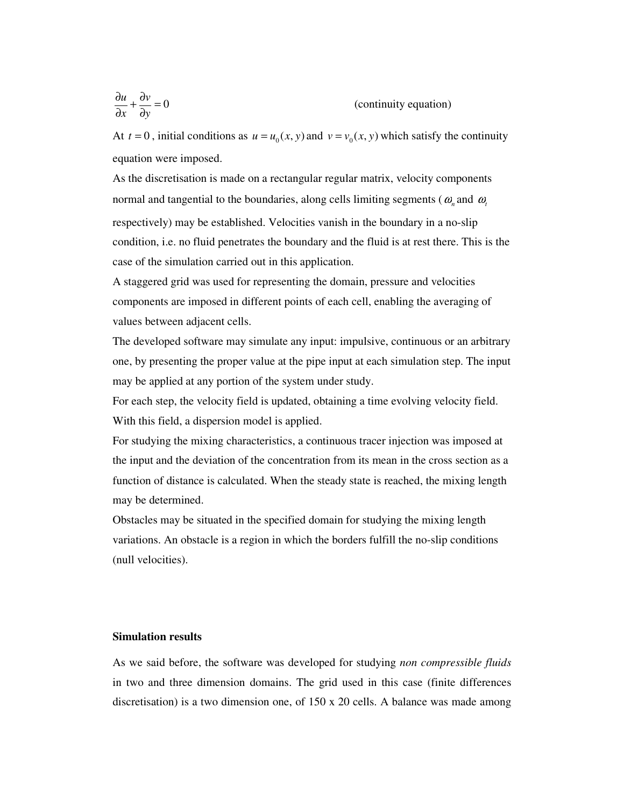$$
\frac{\partial u}{\partial x} + \frac{\partial v}{\partial y} = 0
$$
 (continuity equation)

At  $t = 0$ , initial conditions as  $u = u_0(x, y)$  and  $v = v_0(x, y)$  which satisfy the continuity equation were imposed.

As the discretisation is made on a rectangular regular matrix, velocity components normal and tangential to the boundaries, along cells limiting segments ( $\omega_n$  and  $\omega_i$ ) respectively) may be established. Velocities vanish in the boundary in a no-slip condition, i.e. no fluid penetrates the boundary and the fluid is at rest there. This is the case of the simulation carried out in this application.

A staggered grid was used for representing the domain, pressure and velocities components are imposed in different points of each cell, enabling the averaging of values between adjacent cells.

The developed software may simulate any input: impulsive, continuous or an arbitrary one, by presenting the proper value at the pipe input at each simulation step. The input may be applied at any portion of the system under study.

For each step, the velocity field is updated, obtaining a time evolving velocity field. With this field, a dispersion model is applied.

For studying the mixing characteristics, a continuous tracer injection was imposed at the input and the deviation of the concentration from its mean in the cross section as a function of distance is calculated. When the steady state is reached, the mixing length may be determined.

Obstacles may be situated in the specified domain for studying the mixing length variations. An obstacle is a region in which the borders fulfill the no-slip conditions (null velocities).

### **Simulation results**

As we said before, the software was developed for studying *non compressible fluids* in two and three dimension domains. The grid used in this case (finite differences discretisation) is a two dimension one, of 150 x 20 cells. A balance was made among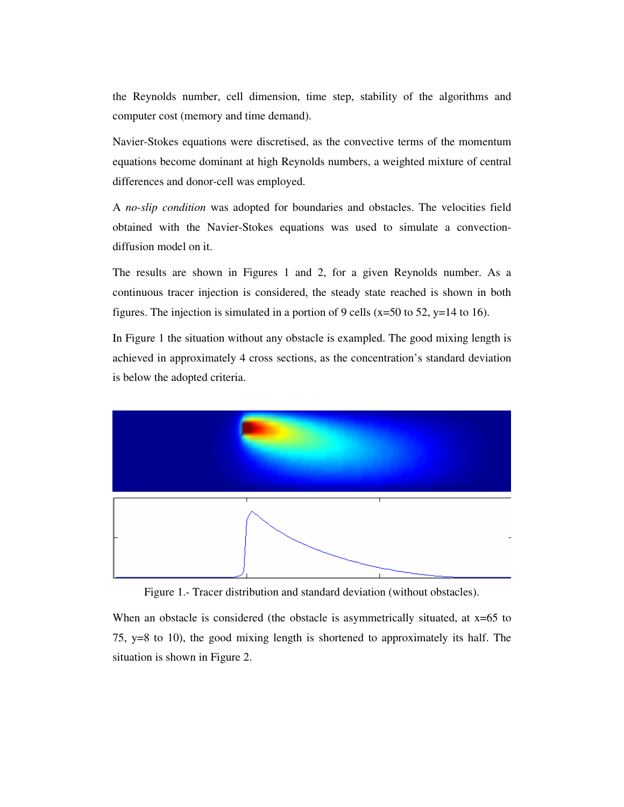the Reynolds number, cell dimension, time step, stability of the algorithms and computer cost (memory and time demand).

Navier-Stokes equations were discretised, as the convective terms of the momentum equations become dominant at high Reynolds numbers, a weighted mixture of central differences and donor-cell was employed.

A *no-slip condition* was adopted for boundaries and obstacles. The velocities field obtained with the Navier-Stokes equations was used to simulate a convectiondiffusion model on it.

The results are shown in Figures 1 and 2, for a given Reynolds number. As a continuous tracer injection is considered, the steady state reached is shown in both figures. The injection is simulated in a portion of 9 cells ( $x=50$  to 52,  $y=14$  to 16).

In Figure 1 the situation without any obstacle is exampled. The good mixing length is achieved in approximately 4 cross sections, as the concentration's standard deviation is below the adopted criteria.



Figure 1.- Tracer distribution and standard deviation (without obstacles).

When an obstacle is considered (the obstacle is asymmetrically situated, at  $x=65$  to 75, y=8 to 10), the good mixing length is shortened to approximately its half. The situation is shown in Figure 2.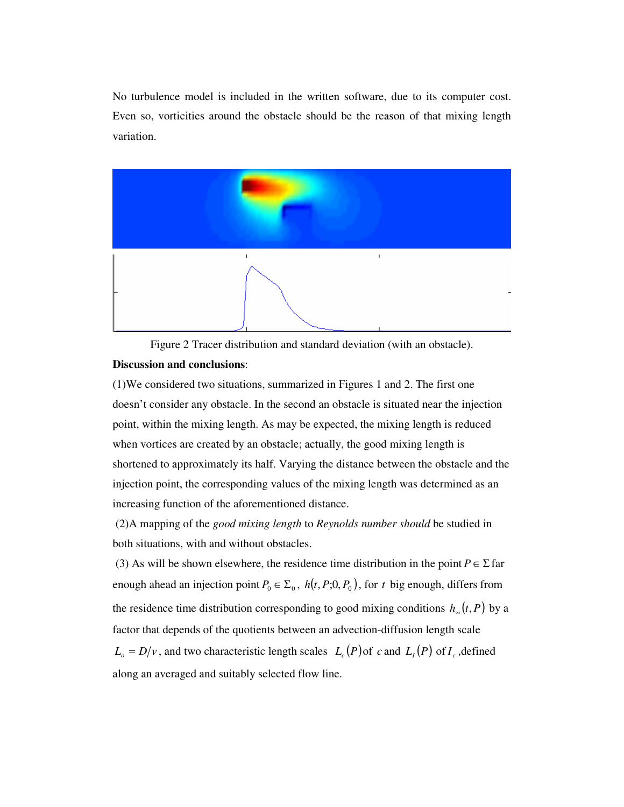No turbulence model is included in the written software, due to its computer cost. Even so, vorticities around the obstacle should be the reason of that mixing length variation.



Figure 2 Tracer distribution and standard deviation (with an obstacle).

#### **Discussion and conclusions**:

(1)We considered two situations, summarized in Figures 1 and 2. The first one doesn't consider any obstacle. In the second an obstacle is situated near the injection point, within the mixing length. As may be expected, the mixing length is reduced when vortices are created by an obstacle; actually, the good mixing length is shortened to approximately its half. Varying the distance between the obstacle and the injection point, the corresponding values of the mixing length was determined as an increasing function of the aforementioned distance.

 (2)A mapping of the *good mixing length* to *Reynolds number should* be studied in both situations, with and without obstacles.

(3) As will be shown elsewhere, the residence time distribution in the point  $P \in \Sigma$  far enough ahead an injection point  $P_0 \in \Sigma_0$ ,  $h(t, P; 0, P_0)$ , for *t* big enough, differs from the residence time distribution corresponding to good mixing conditions  $h_*(t, P)$  by a factor that depends of the quotients between an advection-diffusion length scale  $L_o = D/v$ , and two characteristic length scales  $L_c(P)$  of *c* and  $L_I(P)$  of  $I_c$ , defined along an averaged and suitably selected flow line.